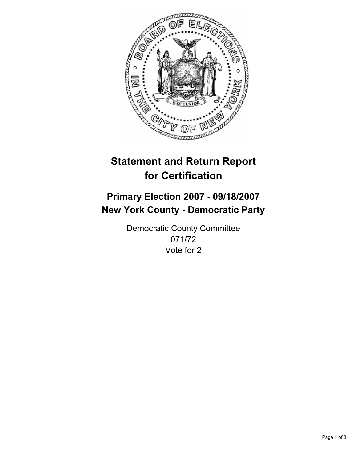

# **Statement and Return Report for Certification**

## **Primary Election 2007 - 09/18/2007 New York County - Democratic Party**

Democratic County Committee 071/72 Vote for 2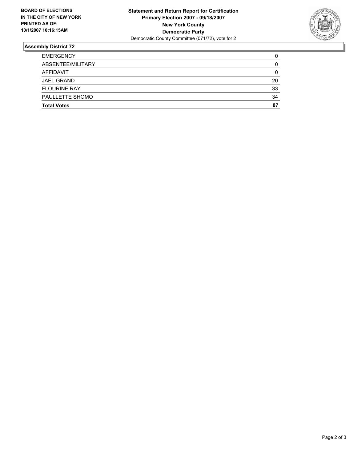

### **Assembly District 72**

| <b>EMERGENCY</b>    |    |
|---------------------|----|
| ABSENTEE/MILITARY   | 0  |
| AFFIDAVIT           |    |
| <b>JAEL GRAND</b>   | 20 |
| <b>FLOURINE RAY</b> | 33 |
| PAULLETTE SHOMO     | 34 |
| <b>Total Votes</b>  | 87 |